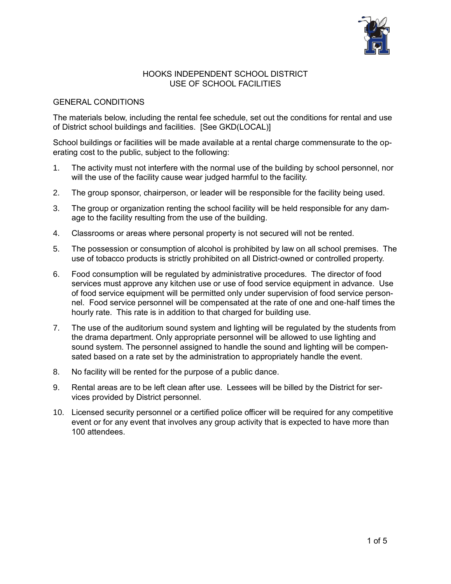

#### HOOKS INDEPENDENT SCHOOL DISTRICT USE OF SCHOOL FACILITIES

#### GENERAL CONDITIONS

The materials below, including the rental fee schedule, set out the conditions for rental and use of District school buildings and facilities. [See GKD(LOCAL)]

School buildings or facilities will be made available at a rental charge commensurate to the operating cost to the public, subject to the following:

- 1. The activity must not interfere with the normal use of the building by school personnel, nor will the use of the facility cause wear judged harmful to the facility.
- 2. The group sponsor, chairperson, or leader will be responsible for the facility being used.
- 3. The group or organization renting the school facility will be held responsible for any damage to the facility resulting from the use of the building.
- 4. Classrooms or areas where personal property is not secured will not be rented.
- 5. The possession or consumption of alcohol is prohibited by law on all school premises. The use of tobacco products is strictly prohibited on all District-owned or controlled property.
- 6. Food consumption will be regulated by administrative procedures. The director of food services must approve any kitchen use or use of food service equipment in advance. Use of food service equipment will be permitted only under supervision of food service personnel. Food service personnel will be compensated at the rate of one and one-half times the hourly rate. This rate is in addition to that charged for building use.
- 7. The use of the auditorium sound system and lighting will be regulated by the students from the drama department. Only appropriate personnel will be allowed to use lighting and sound system. The personnel assigned to handle the sound and lighting will be compensated based on a rate set by the administration to appropriately handle the event.
- 8. No facility will be rented for the purpose of a public dance.
- 9. Rental areas are to be left clean after use. Lessees will be billed by the District for services provided by District personnel.
- 10. Licensed security personnel or a certified police officer will be required for any competitive event or for any event that involves any group activity that is expected to have more than 100 attendees.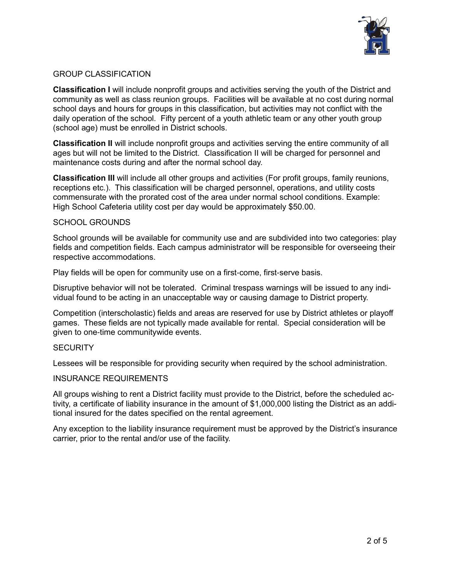

#### GROUP CLASSIFICATION

**Classification I** will include nonprofit groups and activities serving the youth of the District and community as well as class reunion groups. Facilities will be available at no cost during normal school days and hours for groups in this classification, but activities may not conflict with the daily operation of the school. Fifty percent of a youth athletic team or any other youth group (school age) must be enrolled in District schools.

**Classification II** will include nonprofit groups and activities serving the entire community of all ages but will not be limited to the District. Classification II will be charged for personnel and maintenance costs during and after the normal school day.

**Classification III** will include all other groups and activities (For profit groups, family reunions, receptions etc.). This classification will be charged personnel, operations, and utility costs commensurate with the prorated cost of the area under normal school conditions. Example: High School Cafeteria utility cost per day would be approximately \$50.00.

#### SCHOOL GROUNDS

School grounds will be available for community use and are subdivided into two categories: play fields and competition fields. Each campus administrator will be responsible for overseeing their respective accommodations.

Play fields will be open for community use on a first-come, first-serve basis.

Disruptive behavior will not be tolerated. Criminal trespass warnings will be issued to any individual found to be acting in an unacceptable way or causing damage to District property.

Competition (interscholastic) fields and areas are reserved for use by District athletes or playoff games. These fields are not typically made available for rental. Special consideration will be given to one-time communitywide events.

#### **SECURITY**

Lessees will be responsible for providing security when required by the school administration.

#### INSURANCE REQUIREMENTS

All groups wishing to rent a District facility must provide to the District, before the scheduled activity, a certificate of liability insurance in the amount of \$1,000,000 listing the District as an additional insured for the dates specified on the rental agreement.

Any exception to the liability insurance requirement must be approved by the District's insurance carrier, prior to the rental and/or use of the facility.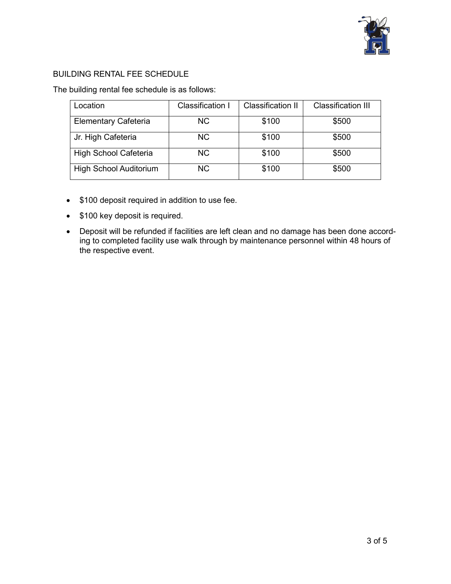

### BUILDING RENTAL FEE SCHEDULE

The building rental fee schedule is as follows:

| Location                      | Classification I | <b>Classification II</b> | <b>Classification III</b> |
|-------------------------------|------------------|--------------------------|---------------------------|
| Elementary Cafeteria          | NC.              | \$100                    | \$500                     |
| Jr. High Cafeteria            | NC.              | \$100                    | \$500                     |
| High School Cafeteria         | <b>NC</b>        | \$100                    | \$500                     |
| <b>High School Auditorium</b> | <b>NC</b>        | \$100                    | \$500                     |

- \$100 deposit required in addition to use fee.
- \$100 key deposit is required.
- Deposit will be refunded if facilities are left clean and no damage has been done according to completed facility use walk through by maintenance personnel within 48 hours of the respective event.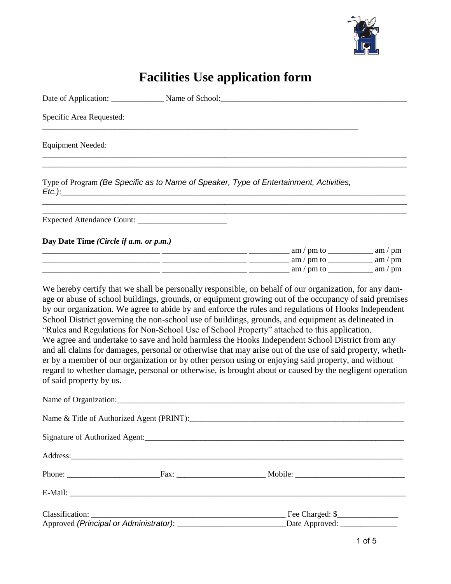

# **Facilities Use application form**

| Specific Area Requested:               |                                                                                                                                                                                                                                                                                                                                                                                                                                                                                                                                                                                                                                                                                                                                                                                                                                                                                                                                                             |  |
|----------------------------------------|-------------------------------------------------------------------------------------------------------------------------------------------------------------------------------------------------------------------------------------------------------------------------------------------------------------------------------------------------------------------------------------------------------------------------------------------------------------------------------------------------------------------------------------------------------------------------------------------------------------------------------------------------------------------------------------------------------------------------------------------------------------------------------------------------------------------------------------------------------------------------------------------------------------------------------------------------------------|--|
| <b>Equipment Needed:</b>               |                                                                                                                                                                                                                                                                                                                                                                                                                                                                                                                                                                                                                                                                                                                                                                                                                                                                                                                                                             |  |
|                                        | Type of Program (Be Specific as to Name of Speaker, Type of Entertainment, Activities,                                                                                                                                                                                                                                                                                                                                                                                                                                                                                                                                                                                                                                                                                                                                                                                                                                                                      |  |
|                                        |                                                                                                                                                                                                                                                                                                                                                                                                                                                                                                                                                                                                                                                                                                                                                                                                                                                                                                                                                             |  |
| Day Date Time (Circle if a.m. or p.m.) | $\frac{1}{2}$ am / pm to $\frac{1}{2}$ am / pm to $\frac{1}{2}$ am / pm to $\frac{1}{2}$ am / pm<br>$\frac{1}{2}$ am / pm to $\frac{1}{2}$ am / pm to $\frac{1}{2}$ am / pm to $\frac{1}{2}$ am / pm                                                                                                                                                                                                                                                                                                                                                                                                                                                                                                                                                                                                                                                                                                                                                        |  |
| of said property by us.                | We hereby certify that we shall be personally responsible, on behalf of our organization, for any dam-<br>age or abuse of school buildings, grounds, or equipment growing out of the occupancy of said premises<br>by our organization. We agree to abide by and enforce the rules and regulations of Hooks Independent<br>School District governing the non-school use of buildings, grounds, and equipment as delineated in<br>"Rules and Regulations for Non-School Use of School Property" attached to this application.<br>We agree and undertake to save and hold harmless the Hooks Independent School District from any<br>and all claims for damages, personal or otherwise that may arise out of the use of said property, wheth-<br>er by a member of our organization or by other person using or enjoying said property, and without<br>regard to whether damage, personal or otherwise, is brought about or caused by the negligent operation |  |
|                                        |                                                                                                                                                                                                                                                                                                                                                                                                                                                                                                                                                                                                                                                                                                                                                                                                                                                                                                                                                             |  |
|                                        |                                                                                                                                                                                                                                                                                                                                                                                                                                                                                                                                                                                                                                                                                                                                                                                                                                                                                                                                                             |  |
|                                        |                                                                                                                                                                                                                                                                                                                                                                                                                                                                                                                                                                                                                                                                                                                                                                                                                                                                                                                                                             |  |
|                                        | Address: 2008. 2008. 2009. 2010. 2010. 2010. 2010. 2010. 2010. 2010. 2010. 2010. 2010. 2010. 2010. 2010. 2010                                                                                                                                                                                                                                                                                                                                                                                                                                                                                                                                                                                                                                                                                                                                                                                                                                               |  |
|                                        |                                                                                                                                                                                                                                                                                                                                                                                                                                                                                                                                                                                                                                                                                                                                                                                                                                                                                                                                                             |  |
|                                        |                                                                                                                                                                                                                                                                                                                                                                                                                                                                                                                                                                                                                                                                                                                                                                                                                                                                                                                                                             |  |
| Classification:                        | Fee Charged: \$                                                                                                                                                                                                                                                                                                                                                                                                                                                                                                                                                                                                                                                                                                                                                                                                                                                                                                                                             |  |

| Classification:                        | Fee Charged: \$ |
|----------------------------------------|-----------------|
| Approved (Principal or Administrator): | Date Approved:  |